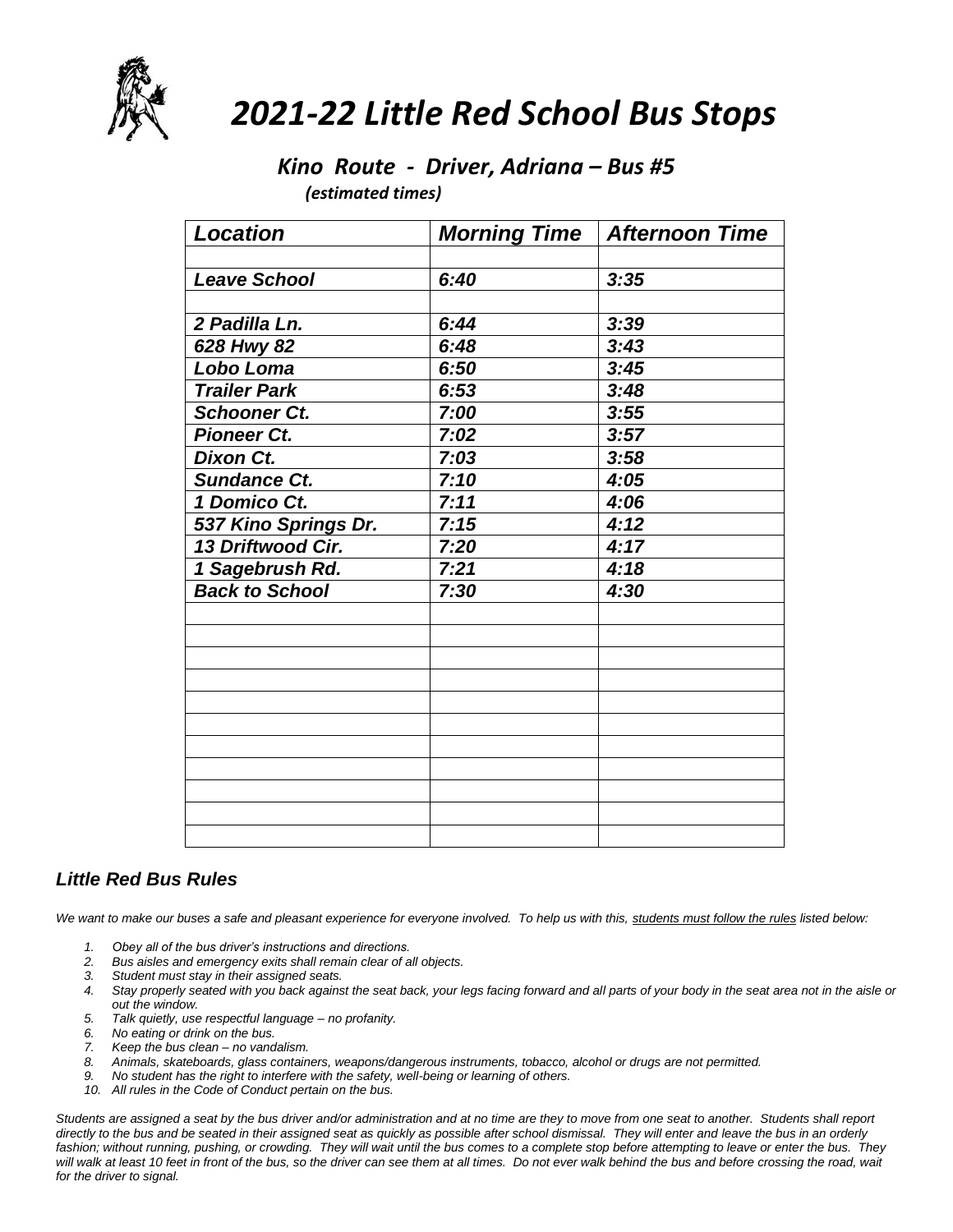

# *2021-22 Little Red School Bus Stops*

### *Kino Route - Driver, Adriana – Bus #5*

 *(estimated times)*

| <b>Location</b>       | <b>Morning Time</b> | <b>Afternoon Time</b> |
|-----------------------|---------------------|-----------------------|
|                       |                     |                       |
| <b>Leave School</b>   | 6:40                | 3:35                  |
|                       |                     |                       |
| 2 Padilla Ln.         | 6:44                | 3:39                  |
| 628 Hwy 82            | 6:48                | 3:43                  |
| Lobo Loma             | 6:50                | 3:45                  |
| <b>Trailer Park</b>   | 6:53                | 3:48                  |
| <b>Schooner Ct.</b>   | 7:00                | 3:55                  |
| <b>Pioneer Ct.</b>    | 7:02                | 3:57                  |
| <b>Dixon Ct.</b>      | 7:03                | 3:58                  |
| <b>Sundance Ct.</b>   | 7:10                | 4:05                  |
| 1 Domico Ct.          | 7:11                | 4:06                  |
| 537 Kino Springs Dr.  | 7:15                | 4:12                  |
| 13 Driftwood Cir.     | 7:20                | 4:17                  |
| 1 Sagebrush Rd.       | 7:21                | 4:18                  |
| <b>Back to School</b> | 7:30                | 4:30                  |
|                       |                     |                       |
|                       |                     |                       |
|                       |                     |                       |
|                       |                     |                       |
|                       |                     |                       |
|                       |                     |                       |
|                       |                     |                       |
|                       |                     |                       |
|                       |                     |                       |
|                       |                     |                       |
|                       |                     |                       |

#### *Little Red Bus Rules*

We want to make our buses a safe and pleasant experience for everyone involved. To help us with this, students must follow the rules listed below:

- *1. Obey all of the bus driver's instructions and directions.*
- *2. Bus aisles and emergency exits shall remain clear of all objects.*
- *3. Student must stay in their assigned seats.*
- *4. Stay properly seated with you back against the seat back, your legs facing forward and all parts of your body in the seat area not in the aisle or out the window.*
- *5. Talk quietly, use respectful language – no profanity.*
- *6. No eating or drink on the bus.*
- *7. Keep the bus clean – no vandalism.*
- *8. Animals, skateboards, glass containers, weapons/dangerous instruments, tobacco, alcohol or drugs are not permitted.*
- *9. No student has the right to interfere with the safety, well-being or learning of others.*
- *10. All rules in the Code of Conduct pertain on the bus.*

*Students are assigned a seat by the bus driver and/or administration and at no time are they to move from one seat to another. Students shall report directly to the bus and be seated in their assigned seat as quickly as possible after school dismissal. They will enter and leave the bus in an orderly*  fashion; without running, pushing, or crowding. They will wait until the bus comes to a complete stop before attempting to leave or enter the bus. They will walk at least 10 feet in front of the bus, so the driver can see them at all times. Do not ever walk behind the bus and before crossing the road, wait *for the driver to signal.*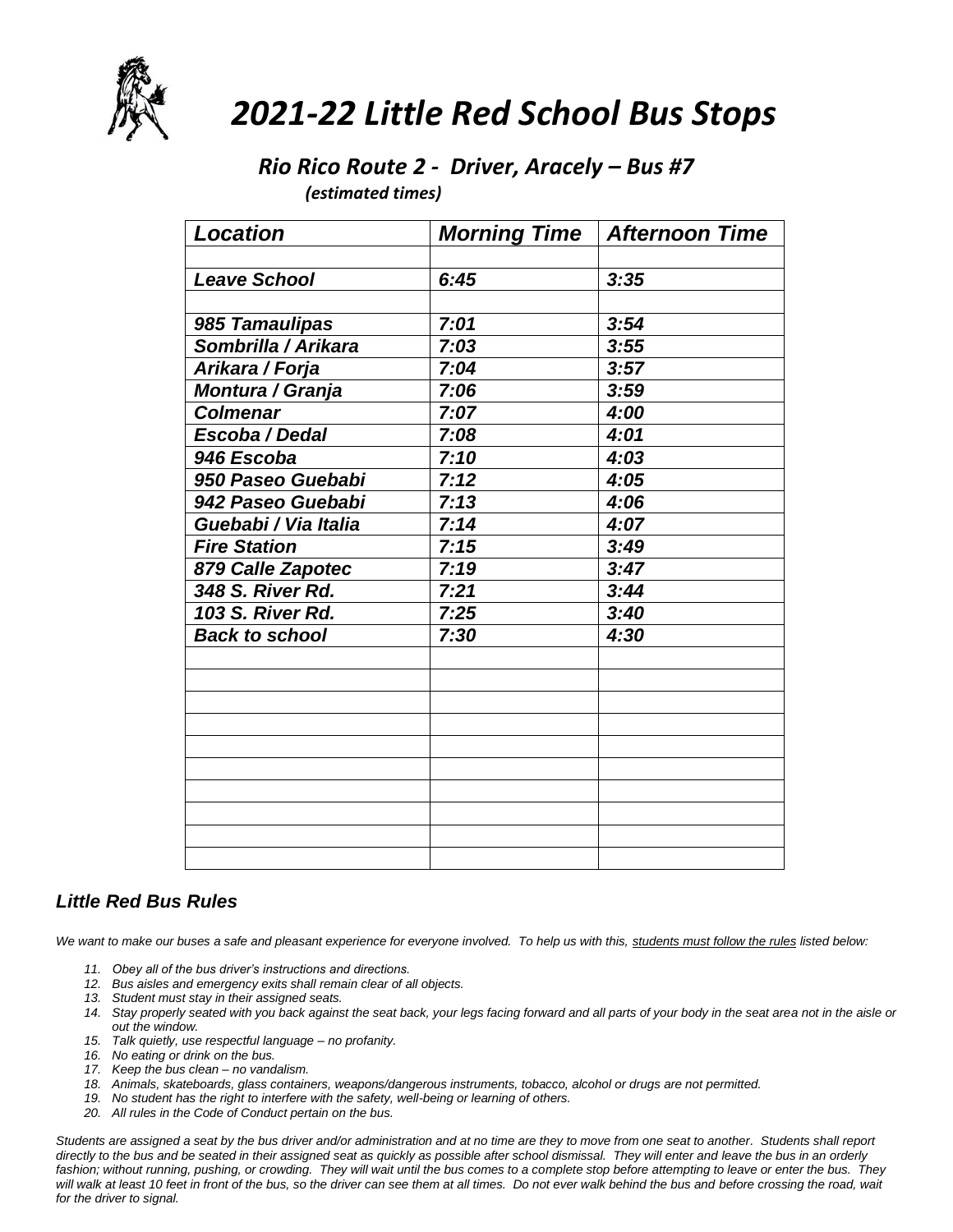

# *2021-22 Little Red School Bus Stops*

#### *Rio Rico Route 2 - Driver, Aracely – Bus #7 (estimated times)*

| <b>Location</b>       | <b>Morning Time</b> | <b>Afternoon Time</b> |
|-----------------------|---------------------|-----------------------|
|                       |                     |                       |
| <b>Leave School</b>   | 6:45                | 3:35                  |
|                       |                     |                       |
| 985 Tamaulipas        | 7:01                | 3:54                  |
| Sombrilla / Arikara   | 7:03                | 3:55                  |
| Arikara / Forja       | 7:04                | 3:57                  |
| Montura / Granja      | 7:06                | 3:59                  |
| <b>Colmenar</b>       | 7:07                | 4:00                  |
| Escoba / Dedal        | 7:08                | 4:01                  |
| 946 Escoba            | 7:10                | 4:03                  |
| 950 Paseo Guebabi     | 7:12                | 4:05                  |
| 942 Paseo Guebabi     | 7:13                | 4:06                  |
| Guebabi / Via Italia  | 7:14                | 4:07                  |
| <b>Fire Station</b>   | 7:15                | 3:49                  |
| 879 Calle Zapotec     | 7:19                | 3:47                  |
| 348 S. River Rd.      | 7:21                | 3:44                  |
| 103 S. River Rd.      | 7:25                | 3:40                  |
| <b>Back to school</b> | 7:30                | 4:30                  |
|                       |                     |                       |
|                       |                     |                       |
|                       |                     |                       |
|                       |                     |                       |
|                       |                     |                       |
|                       |                     |                       |
|                       |                     |                       |
|                       |                     |                       |
|                       |                     |                       |
|                       |                     |                       |

#### *Little Red Bus Rules*

*We want to make our buses a safe and pleasant experience for everyone involved. To help us with this, students must follow the rules listed below:*

- *11. Obey all of the bus driver's instructions and directions.*
- *12. Bus aisles and emergency exits shall remain clear of all objects.*
- *13. Student must stay in their assigned seats.*
- *14. Stay properly seated with you back against the seat back, your legs facing forward and all parts of your body in the seat area not in the aisle or out the window.*
- *15. Talk quietly, use respectful language – no profanity.*
- *16. No eating or drink on the bus.*
- *17. Keep the bus clean – no vandalism.*
- *18. Animals, skateboards, glass containers, weapons/dangerous instruments, tobacco, alcohol or drugs are not permitted.*
- *19. No student has the right to interfere with the safety, well-being or learning of others.*
- *20. All rules in the Code of Conduct pertain on the bus.*

*Students are assigned a seat by the bus driver and/or administration and at no time are they to move from one seat to another. Students shall report directly to the bus and be seated in their assigned seat as quickly as possible after school dismissal. They will enter and leave the bus in an orderly*  fashion; without running, pushing, or crowding. They will wait until the bus comes to a complete stop before attempting to leave or enter the bus. They *will walk at least 10 feet in front of the bus, so the driver can see them at all times. Do not ever walk behind the bus and before crossing the road, wait for the driver to signal.*